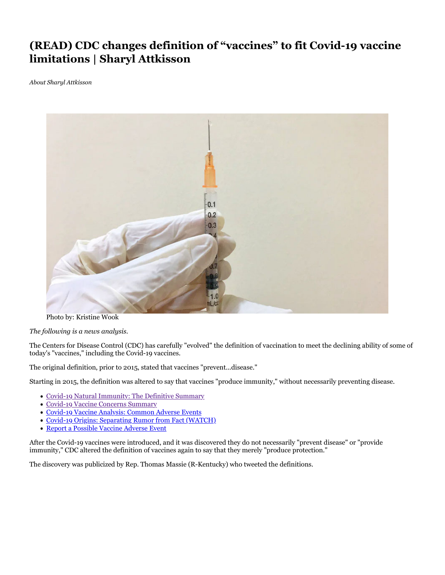## **(READ) CDC changes definition of "vaccines" to fit Covid-19 vaccine limitations | Sharyl Attkisson**

*About Sharyl Attkisson*



Photo by: Kristine Wook

*The following is a news analysis.*

The Centers for Disease Control (CDC) has carefully "evolved" the definition of vaccination to meet the declining ability of some of today's "vaccines," including the Covid-19 vaccines.

The original definition, prior to 2015, stated that vaccines "prevent...disease."

Starting in 2015, the definition was altered to say that vaccines "produce immunity," without necessarily preventing disease.

- Covid-19 Natural Immunity: The Definitive Summary
- Covid-19 Vaccine Concerns Summary
- Covid-19 Vaccine Analysis: Common Adverse Events
- Covid-19 Origins: Separating Rumor from Fact (WATCH)
- Report a Possible Vaccine Adverse Event

After the Covid-19 vaccines were introduced, and it was discovered they do not necessarily "prevent disease" or "provide immunity," CDC altered the definition of vaccines again to say that they merely "produce protection."

The discovery was publicized by Rep. Thomas Massie (R-Kentucky) who tweeted the definitions.